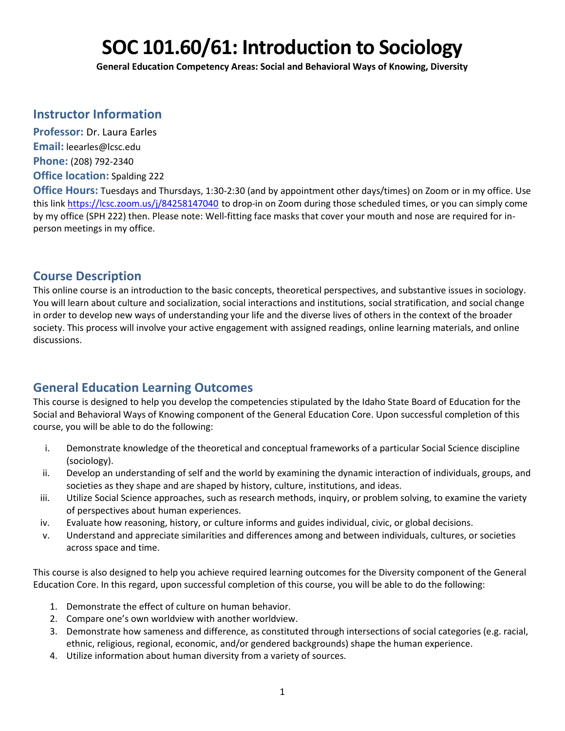# **SOC 101.60/61: Introduction to Sociology**

**General Education Competency Areas: Social and Behavioral Ways of Knowing, Diversity**

# **Instructor Information**

**Professor:** Dr. Laura Earles **Email:** leearles@lcsc.edu **Phone:** (208) 792-2340 **Office location:** Spalding 222

**Office Hours:** Tuesdays and Thursdays, 1:30-2:30 (and by appointment other days/times) on Zoom or in my office. Use this link<https://lcsc.zoom.us/j/84258147040> to drop-in on Zoom during those scheduled times, or you can simply come by my office (SPH 222) then. Please note: Well-fitting face masks that cover your mouth and nose are required for inperson meetings in my office.

# **Course Description**

This online course is an introduction to the basic concepts, theoretical perspectives, and substantive issues in sociology. You will learn about culture and socialization, social interactions and institutions, social stratification, and social change in order to develop new ways of understanding your life and the diverse lives of others in the context of the broader society. This process will involve your active engagement with assigned readings, online learning materials, and online discussions.

# **General Education Learning Outcomes**

This course is designed to help you develop the competencies stipulated by the Idaho State Board of Education for the Social and Behavioral Ways of Knowing component of the General Education Core. Upon successful completion of this course, you will be able to do the following:

- i. Demonstrate knowledge of the theoretical and conceptual frameworks of a particular Social Science discipline (sociology).
- ii. Develop an understanding of self and the world by examining the dynamic interaction of individuals, groups, and societies as they shape and are shaped by history, culture, institutions, and ideas.
- iii. Utilize Social Science approaches, such as research methods, inquiry, or problem solving, to examine the variety of perspectives about human experiences.
- iv. Evaluate how reasoning, history, or culture informs and guides individual, civic, or global decisions.
- v. Understand and appreciate similarities and differences among and between individuals, cultures, or societies across space and time.

This course is also designed to help you achieve required learning outcomes for the Diversity component of the General Education Core. In this regard, upon successful completion of this course, you will be able to do the following:

- 1. Demonstrate the effect of culture on human behavior.
- 2. Compare one's own worldview with another worldview.
- 3. Demonstrate how sameness and difference, as constituted through intersections of social categories (e.g. racial, ethnic, religious, regional, economic, and/or gendered backgrounds) shape the human experience.
- 4. Utilize information about human diversity from a variety of sources.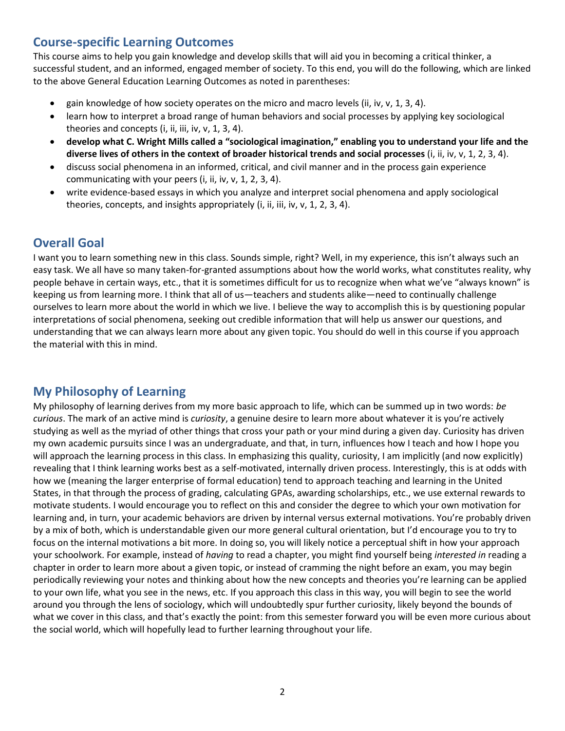# **Course-specific Learning Outcomes**

This course aims to help you gain knowledge and develop skills that will aid you in becoming a critical thinker, a successful student, and an informed, engaged member of society. To this end, you will do the following, which are linked to the above General Education Learning Outcomes as noted in parentheses:

- gain knowledge of how society operates on the micro and macro levels (ii, iv, v, 1, 3, 4).
- learn how to interpret a broad range of human behaviors and social processes by applying key sociological theories and concepts (i, ii, iii, iv, v, 1, 3, 4).
- **develop what C. Wright Mills called a "sociological imagination," enabling you to understand your life and the diverse lives of others in the context of broader historical trends and social processes** (i, ii, iv, v, 1, 2, 3, 4).
- discuss social phenomena in an informed, critical, and civil manner and in the process gain experience communicating with your peers (i, ii, iv, v, 1, 2, 3, 4).
- write evidence-based essays in which you analyze and interpret social phenomena and apply sociological theories, concepts, and insights appropriately (i, ii, iii, iv, v, 1, 2, 3, 4).

# **Overall Goal**

I want you to learn something new in this class. Sounds simple, right? Well, in my experience, this isn't always such an easy task. We all have so many taken-for-granted assumptions about how the world works, what constitutes reality, why people behave in certain ways, etc., that it is sometimes difficult for us to recognize when what we've "always known" is keeping us from learning more. I think that all of us—teachers and students alike—need to continually challenge ourselves to learn more about the world in which we live. I believe the way to accomplish this is by questioning popular interpretations of social phenomena, seeking out credible information that will help us answer our questions, and understanding that we can always learn more about any given topic. You should do well in this course if you approach the material with this in mind.

# **My Philosophy of Learning**

My philosophy of learning derives from my more basic approach to life, which can be summed up in two words: *be curious*. The mark of an active mind is *curiosity*, a genuine desire to learn more about whatever it is you're actively studying as well as the myriad of other things that cross your path or your mind during a given day. Curiosity has driven my own academic pursuits since I was an undergraduate, and that, in turn, influences how I teach and how I hope you will approach the learning process in this class. In emphasizing this quality, curiosity, I am implicitly (and now explicitly) revealing that I think learning works best as a self-motivated, internally driven process. Interestingly, this is at odds with how we (meaning the larger enterprise of formal education) tend to approach teaching and learning in the United States, in that through the process of grading, calculating GPAs, awarding scholarships, etc., we use external rewards to motivate students. I would encourage you to reflect on this and consider the degree to which your own motivation for learning and, in turn, your academic behaviors are driven by internal versus external motivations. You're probably driven by a mix of both, which is understandable given our more general cultural orientation, but I'd encourage you to try to focus on the internal motivations a bit more. In doing so, you will likely notice a perceptual shift in how your approach your schoolwork. For example, instead of *having* to read a chapter, you might find yourself being *interested in* reading a chapter in order to learn more about a given topic, or instead of cramming the night before an exam, you may begin periodically reviewing your notes and thinking about how the new concepts and theories you're learning can be applied to your own life, what you see in the news, etc. If you approach this class in this way, you will begin to see the world around you through the lens of sociology, which will undoubtedly spur further curiosity, likely beyond the bounds of what we cover in this class, and that's exactly the point: from this semester forward you will be even more curious about the social world, which will hopefully lead to further learning throughout your life.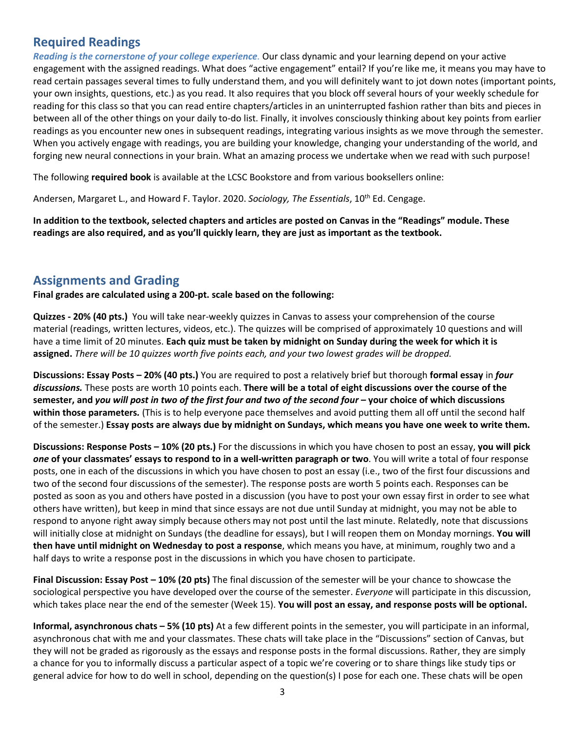# **Required Readings**

*Reading is the cornerstone of your college experience.* Our class dynamic and your learning depend on your active engagement with the assigned readings. What does "active engagement" entail? If you're like me, it means you may have to read certain passages several times to fully understand them, and you will definitely want to jot down notes (important points, your own insights, questions, etc.) as you read. It also requires that you block off several hours of your weekly schedule for reading for this class so that you can read entire chapters/articles in an uninterrupted fashion rather than bits and pieces in between all of the other things on your daily to-do list. Finally, it involves consciously thinking about key points from earlier readings as you encounter new ones in subsequent readings, integrating various insights as we move through the semester. When you actively engage with readings, you are building your knowledge, changing your understanding of the world, and forging new neural connections in your brain. What an amazing process we undertake when we read with such purpose!

The following **required book** is available at the LCSC Bookstore and from various booksellers online:

Andersen, Margaret L., and Howard F. Taylor. 2020. *Sociology, The Essentials*, 10th Ed. Cengage.

**In addition to the textbook, selected chapters and articles are posted on Canvas in the "Readings" module. These readings are also required, and as you'll quickly learn, they are just as important as the textbook.** 

# **Assignments and Grading**

**Final grades are calculated using a 200-pt. scale based on the following:**

**Quizzes - 20% (40 pts.)** You will take near-weekly quizzes in Canvas to assess your comprehension of the course material (readings, written lectures, videos, etc.). The quizzes will be comprised of approximately 10 questions and will have a time limit of 20 minutes. **Each quiz must be taken by midnight on Sunday during the week for which it is assigned.** *There will be 10 quizzes worth five points each, and your two lowest grades will be dropped.* 

**Discussions: Essay Posts – 20% (40 pts.)** You are required to post a relatively brief but thorough **formal essay** in *four discussions.* These posts are worth 10 points each. **There will be a total of eight discussions over the course of the semester, and** *you will post in two of the first four and two of the second four* **– your choice of which discussions within those parameters***.* (This is to help everyone pace themselves and avoid putting them all off until the second half of the semester.) **Essay posts are always due by midnight on Sundays, which means you have one week to write them.**

**Discussions: Response Posts – 10% (20 pts.)** For the discussions in which you have chosen to post an essay, **you will pick**  *one* **of your classmates' essays to respond to in a well-written paragraph or two**. You will write a total of four response posts, one in each of the discussions in which you have chosen to post an essay (i.e., two of the first four discussions and two of the second four discussions of the semester). The response posts are worth 5 points each. Responses can be posted as soon as you and others have posted in a discussion (you have to post your own essay first in order to see what others have written), but keep in mind that since essays are not due until Sunday at midnight, you may not be able to respond to anyone right away simply because others may not post until the last minute. Relatedly, note that discussions will initially close at midnight on Sundays (the deadline for essays), but I will reopen them on Monday mornings. **You will then have until midnight on Wednesday to post a response**, which means you have, at minimum, roughly two and a half days to write a response post in the discussions in which you have chosen to participate.

**Final Discussion: Essay Post – 10% (20 pts)** The final discussion of the semester will be your chance to showcase the sociological perspective you have developed over the course of the semester. *Everyone* will participate in this discussion, which takes place near the end of the semester (Week 15). **You will post an essay, and response posts will be optional.**

**Informal, asynchronous chats – 5% (10 pts)** At a few different points in the semester, you will participate in an informal, asynchronous chat with me and your classmates. These chats will take place in the "Discussions" section of Canvas, but they will not be graded as rigorously as the essays and response posts in the formal discussions. Rather, they are simply a chance for you to informally discuss a particular aspect of a topic we're covering or to share things like study tips or general advice for how to do well in school, depending on the question(s) I pose for each one. These chats will be open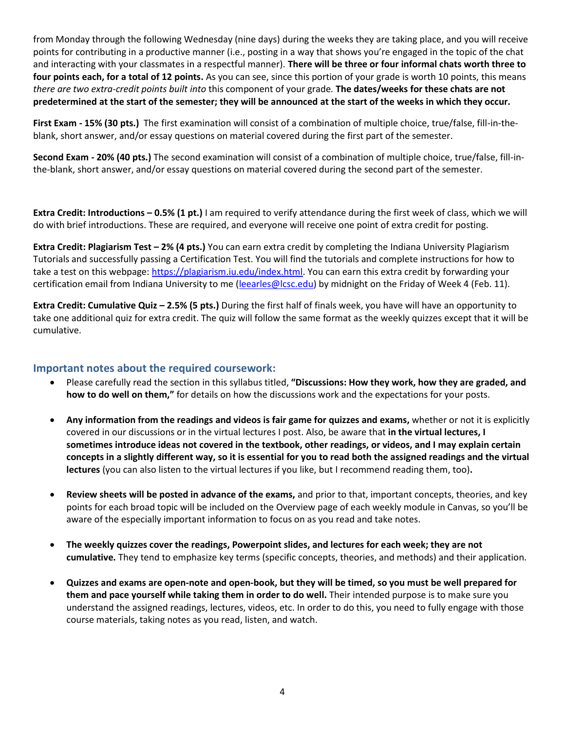from Monday through the following Wednesday (nine days) during the weeks they are taking place, and you will receive points for contributing in a productive manner (i.e., posting in a way that shows you're engaged in the topic of the chat and interacting with your classmates in a respectful manner). **There will be three or four informal chats worth three to four points each, for a total of 12 points.** As you can see, since this portion of your grade is worth 10 points, this means *there are two extra-credit points built into* this component of your grade*.* **The dates/weeks for these chats are not predetermined at the start of the semester; they will be announced at the start of the weeks in which they occur.**

**First Exam - 15% (30 pts.)** The first examination will consist of a combination of multiple choice, true/false, fill-in-theblank, short answer, and/or essay questions on material covered during the first part of the semester.

**Second Exam - 20% (40 pts.)** The second examination will consist of a combination of multiple choice, true/false, fill-inthe-blank, short answer, and/or essay questions on material covered during the second part of the semester.

**Extra Credit: Introductions – 0.5% (1 pt.)** I am required to verify attendance during the first week of class, which we will do with brief introductions. These are required, and everyone will receive one point of extra credit for posting.

**Extra Credit: Plagiarism Test – 2% (4 pts.)** You can earn extra credit by completing the Indiana University Plagiarism Tutorials and successfully passing a Certification Test. You will find the tutorials and complete instructions for how to take a test on this webpage: [https://plagiarism.iu.edu/index.html.](https://plagiarism.iu.edu/index.html) You can earn this extra credit by forwarding your certification email from Indiana University to me [\(leearles@lcsc.edu\)](mailto:leearles@lcsc.edu) by midnight on the Friday of Week 4 (Feb. 11).

**Extra Credit: Cumulative Quiz – 2.5% (5 pts.)** During the first half of finals week, you have will have an opportunity to take one additional quiz for extra credit. The quiz will follow the same format as the weekly quizzes except that it will be cumulative.

#### **Important notes about the required coursework:**

- Please carefully read the section in this syllabus titled, **"Discussions: How they work, how they are graded, and how to do well on them,"** for details on how the discussions work and the expectations for your posts.
- **Any information from the readings and videos is fair game for quizzes and exams,** whether or not it is explicitly covered in our discussions or in the virtual lectures I post. Also, be aware that **in the virtual lectures, I sometimes introduce ideas not covered in the textbook, other readings, or videos, and I may explain certain concepts in a slightly different way, so it is essential for you to read both the assigned readings and the virtual lectures** (you can also listen to the virtual lectures if you like, but I recommend reading them, too)**.**
- **Review sheets will be posted in advance of the exams,** and prior to that, important concepts, theories, and key points for each broad topic will be included on the Overview page of each weekly module in Canvas, so you'll be aware of the especially important information to focus on as you read and take notes.
- **The weekly quizzes cover the readings, Powerpoint slides, and lectures for each week; they are not cumulative.** They tend to emphasize key terms (specific concepts, theories, and methods) and their application.
- **Quizzes and exams are open-note and open-book, but they will be timed, so you must be well prepared for them and pace yourself while taking them in order to do well.** Their intended purpose is to make sure you understand the assigned readings, lectures, videos, etc. In order to do this, you need to fully engage with those course materials, taking notes as you read, listen, and watch.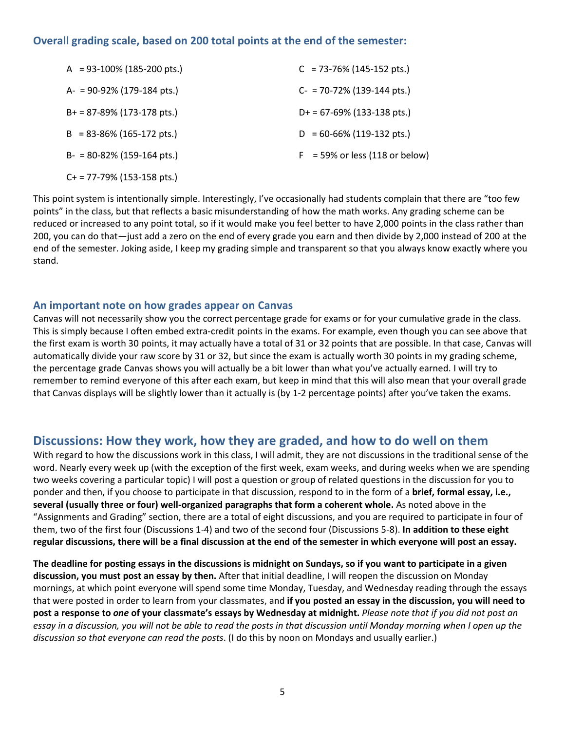### **Overall grading scale, based on 200 total points at the end of the semester:**

| $A = 93-100\% (185-200 \text{ pts.})$ | $C = 73-76\%$ (145-152 pts.)             |
|---------------------------------------|------------------------------------------|
| $A = 90-92\% (179-184 \text{ pts.})$  | $C = 70-72\% (139-144 \text{ pts.})$     |
| $B+ = 87-89\% (173-178 \text{ pts.})$ | $D+ = 67-69\% (133-138 \text{ pts.})$    |
| $B = 83-86\% (165-172 \text{ pts.})$  | $D = 60 - 66\% (119 - 132 \text{ pts.})$ |
| $B- = 80-82\% (159-164 \text{ pts.})$ | $F = 59\%$ or less (118 or below)        |
| $C+$ = 77-79% (153-158 pts.)          |                                          |

This point system is intentionally simple. Interestingly, I've occasionally had students complain that there are "too few points" in the class, but that reflects a basic misunderstanding of how the math works. Any grading scheme can be reduced or increased to any point total, so if it would make you feel better to have 2,000 points in the class rather than 200, you can do that—just add a zero on the end of every grade you earn and then divide by 2,000 instead of 200 at the end of the semester. Joking aside, I keep my grading simple and transparent so that you always know exactly where you stand.

#### **An important note on how grades appear on Canvas**

Canvas will not necessarily show you the correct percentage grade for exams or for your cumulative grade in the class. This is simply because I often embed extra-credit points in the exams. For example, even though you can see above that the first exam is worth 30 points, it may actually have a total of 31 or 32 points that are possible. In that case, Canvas will automatically divide your raw score by 31 or 32, but since the exam is actually worth 30 points in my grading scheme, the percentage grade Canvas shows you will actually be a bit lower than what you've actually earned. I will try to remember to remind everyone of this after each exam, but keep in mind that this will also mean that your overall grade that Canvas displays will be slightly lower than it actually is (by 1-2 percentage points) after you've taken the exams.

# **Discussions: How they work, how they are graded, and how to do well on them**

With regard to how the discussions work in this class, I will admit, they are not discussions in the traditional sense of the word. Nearly every week up (with the exception of the first week, exam weeks, and during weeks when we are spending two weeks covering a particular topic) I will post a question or group of related questions in the discussion for you to ponder and then, if you choose to participate in that discussion, respond to in the form of a **brief, formal essay, i.e., several (usually three or four) well-organized paragraphs that form a coherent whole.** As noted above in the "Assignments and Grading" section, there are a total of eight discussions, and you are required to participate in four of them, two of the first four (Discussions 1-4) and two of the second four (Discussions 5-8). **In addition to these eight regular discussions, there will be a final discussion at the end of the semester in which everyone will post an essay.** 

**The deadline for posting essays in the discussions is midnight on Sundays, so if you want to participate in a given discussion, you must post an essay by then.** After that initial deadline, I will reopen the discussion on Monday mornings, at which point everyone will spend some time Monday, Tuesday, and Wednesday reading through the essays that were posted in order to learn from your classmates, and **if you posted an essay in the discussion, you will need to post a response to** *one* **of your classmate's essays by Wednesday at midnight.** *Please note that if you did not post an essay in a discussion, you will not be able to read the posts in that discussion until Monday morning when I open up the discussion so that everyone can read the posts*. (I do this by noon on Mondays and usually earlier.)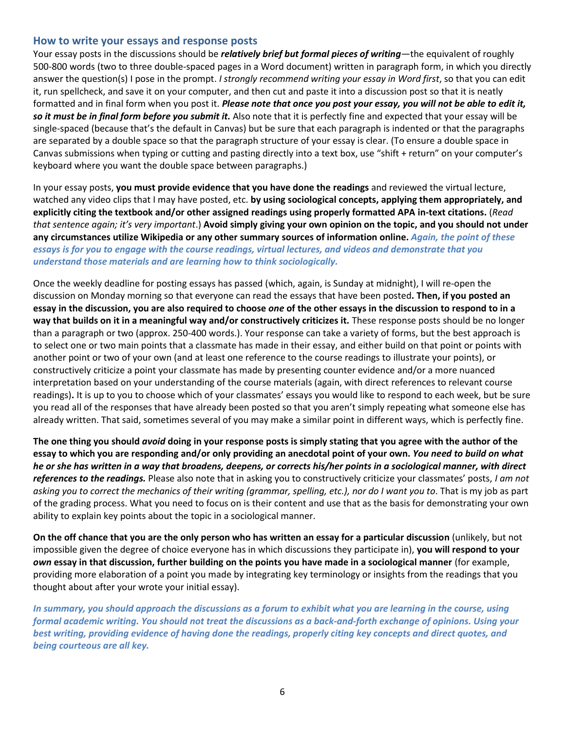#### **How to write your essays and response posts**

Your essay posts in the discussions should be *relatively brief but formal pieces of writing*—the equivalent of roughly 500-800 words (two to three double-spaced pages in a Word document) written in paragraph form, in which you directly answer the question(s) I pose in the prompt. *I strongly recommend writing your essay in Word first*, so that you can edit it, run spellcheck, and save it on your computer, and then cut and paste it into a discussion post so that it is neatly formatted and in final form when you post it. *Please note that once you post your essay, you will not be able to edit it, so it must be in final form before you submit it.* Also note that it is perfectly fine and expected that your essay will be single-spaced (because that's the default in Canvas) but be sure that each paragraph is indented or that the paragraphs are separated by a double space so that the paragraph structure of your essay is clear. (To ensure a double space in Canvas submissions when typing or cutting and pasting directly into a text box, use "shift + return" on your computer's keyboard where you want the double space between paragraphs.)

In your essay posts, **you must provide evidence that you have done the readings** and reviewed the virtual lecture, watched any video clips that I may have posted, etc. **by using sociological concepts, applying them appropriately, and explicitly citing the textbook and/or other assigned readings using properly formatted APA in-text citations.** (*Read that sentence again; it's very important*.) **Avoid simply giving your own opinion on the topic, and you should not under any circumstances utilize Wikipedia or any other summary sources of information online.** *Again, the point of these essays is for you to engage with the course readings, virtual lectures, and videos and demonstrate that you understand those materials and are learning how to think sociologically.*

Once the weekly deadline for posting essays has passed (which, again, is Sunday at midnight), I will re-open the discussion on Monday morning so that everyone can read the essays that have been posted**. Then, if you posted an essay in the discussion, you are also required to choose** *one* **of the other essays in the discussion to respond to in a way that builds on it in a meaningful way and/or constructively criticizes it.** These response posts should be no longer than a paragraph or two (approx. 250-400 words.). Your response can take a variety of forms, but the best approach is to select one or two main points that a classmate has made in their essay, and either build on that point or points with another point or two of your own (and at least one reference to the course readings to illustrate your points), or constructively criticize a point your classmate has made by presenting counter evidence and/or a more nuanced interpretation based on your understanding of the course materials (again, with direct references to relevant course readings)**.** It is up to you to choose which of your classmates' essays you would like to respond to each week, but be sure you read all of the responses that have already been posted so that you aren't simply repeating what someone else has already written. That said, sometimes several of you may make a similar point in different ways, which is perfectly fine.

**The one thing you should** *avoid* **doing in your response posts is simply stating that you agree with the author of the essay to which you are responding and/or only providing an anecdotal point of your own.** *You need to build on what he or she has written in a way that broadens, deepens, or corrects his/her points in a sociological manner, with direct references to the readings.* Please also note that in asking you to constructively criticize your classmates' posts, *I am not asking you to correct the mechanics of their writing (grammar, spelling, etc.), nor do I want you to*. That is my job as part of the grading process. What you need to focus on is their content and use that as the basis for demonstrating your own ability to explain key points about the topic in a sociological manner.

**On the off chance that you are the only person who has written an essay for a particular discussion** (unlikely, but not impossible given the degree of choice everyone has in which discussions they participate in), **you will respond to your**  *own* **essay in that discussion, further building on the points you have made in a sociological manner** (for example, providing more elaboration of a point you made by integrating key terminology or insights from the readings that you thought about after your wrote your initial essay).

*In summary, you should approach the discussions as a forum to exhibit what you are learning in the course, using formal academic writing. You should not treat the discussions as a back-and-forth exchange of opinions. Using your best writing, providing evidence of having done the readings, properly citing key concepts and direct quotes, and being courteous are all key.*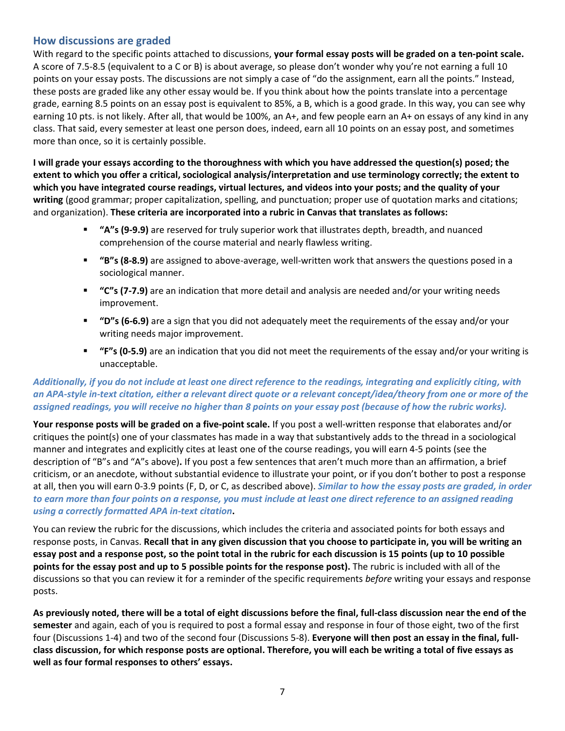#### **How discussions are graded**

With regard to the specific points attached to discussions, **your formal essay posts will be graded on a ten-point scale.**  A score of 7.5-8.5 (equivalent to a C or B) is about average, so please don't wonder why you're not earning a full 10 points on your essay posts. The discussions are not simply a case of "do the assignment, earn all the points." Instead, these posts are graded like any other essay would be. If you think about how the points translate into a percentage grade, earning 8.5 points on an essay post is equivalent to 85%, a B, which is a good grade. In this way, you can see why earning 10 pts. is not likely. After all, that would be 100%, an A+, and few people earn an A+ on essays of any kind in any class. That said, every semester at least one person does, indeed, earn all 10 points on an essay post, and sometimes more than once, so it is certainly possible.

**I will grade your essays according to the thoroughness with which you have addressed the question(s) posed; the extent to which you offer a critical, sociological analysis/interpretation and use terminology correctly; the extent to which you have integrated course readings, virtual lectures, and videos into your posts; and the quality of your writing** (good grammar; proper capitalization, spelling, and punctuation; proper use of quotation marks and citations; and organization). **These criteria are incorporated into a rubric in Canvas that translates as follows:**

- **"A"s (9-9.9)** are reserved for truly superior work that illustrates depth, breadth, and nuanced comprehension of the course material and nearly flawless writing.
- **"B"s (8-8.9)** are assigned to above-average, well-written work that answers the questions posed in a sociological manner.
- **"C"s (7-7.9)** are an indication that more detail and analysis are needed and/or your writing needs improvement.
- **"D"s (6-6.9)** are a sign that you did not adequately meet the requirements of the essay and/or your writing needs major improvement.
- **"F"s (0-5.9)** are an indication that you did not meet the requirements of the essay and/or your writing is unacceptable.

#### *Additionally, if you do not include at least one direct reference to the readings, integrating and explicitly citing, with an APA-style in-text citation, either a relevant direct quote or a relevant concept/idea/theory from one or more of the assigned readings, you will receive no higher than 8 points on your essay post (because of how the rubric works).*

**Your response posts will be graded on a five-point scale.** If you post a well-written response that elaborates and/or critiques the point(s) one of your classmates has made in a way that substantively adds to the thread in a sociological manner and integrates and explicitly cites at least one of the course readings, you will earn 4-5 points (see the description of "B"s and "A"s above)**.** If you post a few sentences that aren't much more than an affirmation, a brief criticism, or an anecdote, without substantial evidence to illustrate your point, or if you don't bother to post a response at all, then you will earn 0-3.9 points (F, D, or C, as described above). *Similar to how the essay posts are graded, in order to earn more than four points on a response, you must include at least one direct reference to an assigned reading using a correctly formatted APA in-text citation***.**

You can review the rubric for the discussions, which includes the criteria and associated points for both essays and response posts, in Canvas. **Recall that in any given discussion that you choose to participate in, you will be writing an essay post and a response post, so the point total in the rubric for each discussion is 15 points (up to 10 possible points for the essay post and up to 5 possible points for the response post).** The rubric is included with all of the discussions so that you can review it for a reminder of the specific requirements *before* writing your essays and response posts.

**As previously noted, there will be a total of eight discussions before the final, full-class discussion near the end of the semester** and again, each of you is required to post a formal essay and response in four of those eight, two of the first four (Discussions 1-4) and two of the second four (Discussions 5-8). **Everyone will then post an essay in the final, fullclass discussion, for which response posts are optional. Therefore, you will each be writing a total of five essays as well as four formal responses to others' essays.**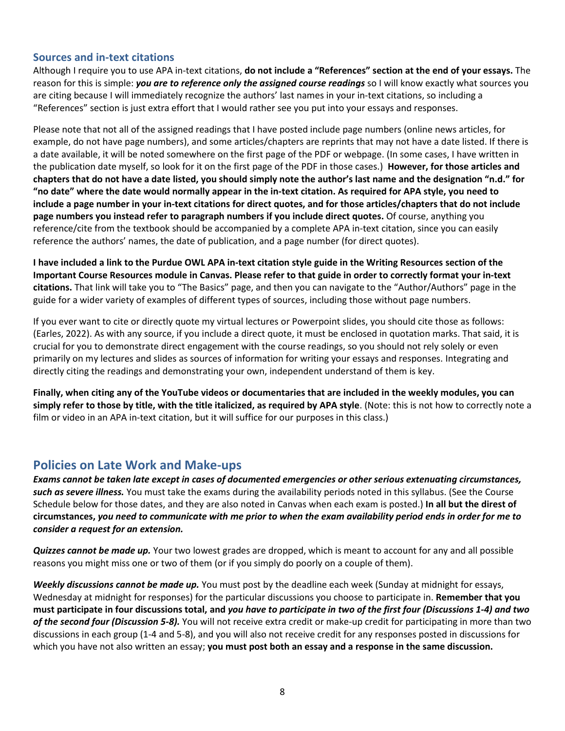#### **Sources and in-text citations**

Although I require you to use APA in-text citations, **do not include a "References" section at the end of your essays.** The reason for this is simple: *you are to reference only the assigned course readings* so I will know exactly what sources you are citing because I will immediately recognize the authors' last names in your in-text citations, so including a "References" section is just extra effort that I would rather see you put into your essays and responses.

Please note that not all of the assigned readings that I have posted include page numbers (online news articles, for example, do not have page numbers), and some articles/chapters are reprints that may not have a date listed. If there is a date available, it will be noted somewhere on the first page of the PDF or webpage. (In some cases, I have written in the publication date myself, so look for it on the first page of the PDF in those cases.) **However, for those articles and chapters that do not have a date listed, you should simply note the author's last name and the designation "n.d." for "no date" where the date would normally appear in the in-text citation. As required for APA style, you need to include a page number in your in-text citations for direct quotes, and for those articles/chapters that do not include page numbers you instead refer to paragraph numbers if you include direct quotes.** Of course, anything you reference/cite from the textbook should be accompanied by a complete APA in-text citation, since you can easily reference the authors' names, the date of publication, and a page number (for direct quotes).

**I have included a link to the Purdue OWL APA in-text citation style guide in the Writing Resources section of the Important Course Resources module in Canvas. Please refer to that guide in order to correctly format your in-text citations.** That link will take you to "The Basics" page, and then you can navigate to the "Author/Authors" page in the guide for a wider variety of examples of different types of sources, including those without page numbers.

If you ever want to cite or directly quote my virtual lectures or Powerpoint slides, you should cite those as follows: (Earles, 2022). As with any source, if you include a direct quote, it must be enclosed in quotation marks. That said, it is crucial for you to demonstrate direct engagement with the course readings, so you should not rely solely or even primarily on my lectures and slides as sources of information for writing your essays and responses. Integrating and directly citing the readings and demonstrating your own, independent understand of them is key.

**Finally, when citing any of the YouTube videos or documentaries that are included in the weekly modules, you can simply refer to those by title, with the title italicized, as required by APA style**. (Note: this is not how to correctly note a film or video in an APA in-text citation, but it will suffice for our purposes in this class.)

# **Policies on Late Work and Make-ups**

*Exams cannot be taken late except in cases of documented emergencies or other serious extenuating circumstances, such as severe illness.* You must take the exams during the availability periods noted in this syllabus. (See the Course Schedule below for those dates, and they are also noted in Canvas when each exam is posted.) **In all but the direst of circumstances,** *you need to communicate with me prior to when the exam availability period ends in order for me to consider a request for an extension.*

*Quizzes cannot be made up.* Your two lowest grades are dropped, which is meant to account for any and all possible reasons you might miss one or two of them (or if you simply do poorly on a couple of them).

*Weekly discussions cannot be made up.* You must post by the deadline each week (Sunday at midnight for essays, Wednesday at midnight for responses) for the particular discussions you choose to participate in. **Remember that you must participate in four discussions total, and** *you have to participate in two of the first four (Discussions 1-4) and two of the second four (Discussion 5-8).* You will not receive extra credit or make-up credit for participating in more than two discussions in each group (1-4 and 5-8), and you will also not receive credit for any responses posted in discussions for which you have not also written an essay; **you must post both an essay and a response in the same discussion.**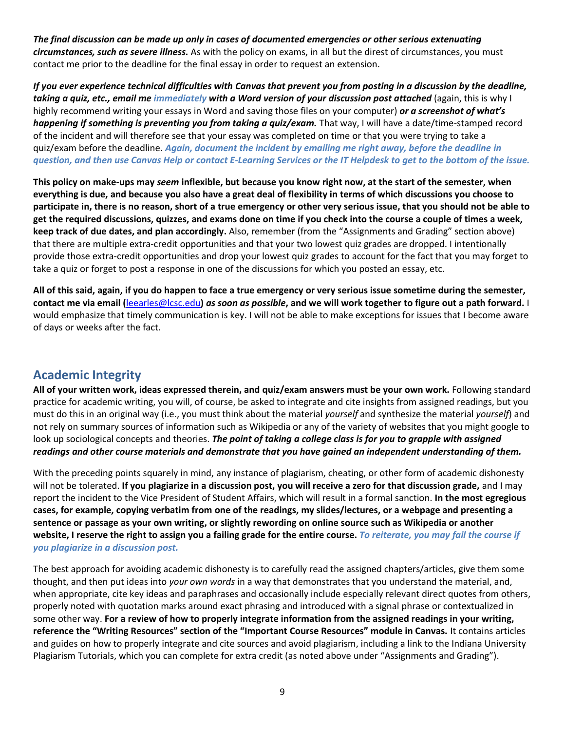*The final discussion can be made up only in cases of documented emergencies or other serious extenuating circumstances, such as severe illness.* As with the policy on exams, in all but the direst of circumstances, you must contact me prior to the deadline for the final essay in order to request an extension.

*If you ever experience technical difficulties with Canvas that prevent you from posting in a discussion by the deadline, taking a quiz, etc., email me immediately with a Word version of your discussion post attached* (again, this is why I highly recommend writing your essays in Word and saving those files on your computer) *or a screenshot of what's happening if something is preventing you from taking a quiz/exam.* That way, I will have a date/time-stamped record of the incident and will therefore see that your essay was completed on time or that you were trying to take a quiz/exam before the deadline. *Again, document the incident by emailing me right away, before the deadline in question, and then use Canvas Help or contact E-Learning Services or the IT Helpdesk to get to the bottom of the issue.* 

**This policy on make-ups may** *seem* **inflexible, but because you know right now, at the start of the semester, when everything is due, and because you also have a great deal of flexibility in terms of which discussions you choose to participate in, there is no reason, short of a true emergency or other very serious issue, that you should not be able to get the required discussions, quizzes, and exams done on time if you check into the course a couple of times a week, keep track of due dates, and plan accordingly.** Also, remember (from the "Assignments and Grading" section above) that there are multiple extra-credit opportunities and that your two lowest quiz grades are dropped. I intentionally provide those extra-credit opportunities and drop your lowest quiz grades to account for the fact that you may forget to take a quiz or forget to post a response in one of the discussions for which you posted an essay, etc.

**All of this said, again, if you do happen to face a true emergency or very serious issue sometime during the semester, contact me via email (**[leearles@lcsc.edu](mailto:leearles@lcsc.edu)**)** *as soon as possible***, and we will work together to figure out a path forward.** I would emphasize that timely communication is key. I will not be able to make exceptions for issues that I become aware of days or weeks after the fact.

# **Academic Integrity**

**All of your written work, ideas expressed therein, and quiz/exam answers must be your own work.** Following standard practice for academic writing, you will, of course, be asked to integrate and cite insights from assigned readings, but you must do this in an original way (i.e., you must think about the material *yourself* and synthesize the material *yourself*) and not rely on summary sources of information such as Wikipedia or any of the variety of websites that you might google to look up sociological concepts and theories. **The point of taking a college class is for you to grapple with assigned** *readings and other course materials and demonstrate that you have gained an independent understanding of them.* 

With the preceding points squarely in mind, any instance of plagiarism, cheating, or other form of academic dishonesty will not be tolerated. **If you plagiarize in a discussion post, you will receive a zero for that discussion grade,** and I may report the incident to the Vice President of Student Affairs, which will result in a formal sanction. **In the most egregious cases, for example, copying verbatim from one of the readings, my slides/lectures, or a webpage and presenting a sentence or passage as your own writing, or slightly rewording on online source such as Wikipedia or another website, I reserve the right to assign you a failing grade for the entire course.** *To reiterate, you may fail the course if you plagiarize in a discussion post.* 

The best approach for avoiding academic dishonesty is to carefully read the assigned chapters/articles, give them some thought, and then put ideas into *your own words* in a way that demonstrates that you understand the material, and, when appropriate, cite key ideas and paraphrases and occasionally include especially relevant direct quotes from others, properly noted with quotation marks around exact phrasing and introduced with a signal phrase or contextualized in some other way. **For a review of how to properly integrate information from the assigned readings in your writing, reference the "Writing Resources" section of the "Important Course Resources" module in Canvas.** It contains articles and guides on how to properly integrate and cite sources and avoid plagiarism, including a link to the Indiana University Plagiarism Tutorials, which you can complete for extra credit (as noted above under "Assignments and Grading").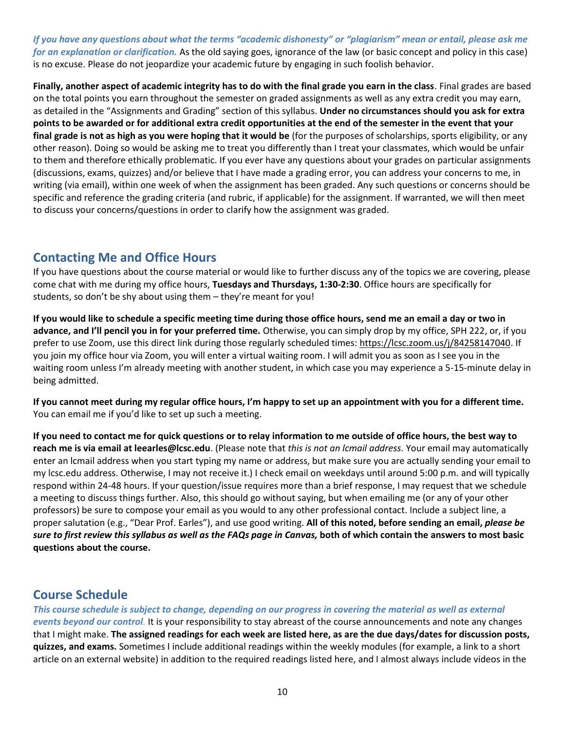*If you have any questions about what the terms "academic dishonesty" or "plagiarism" mean or entail, please ask me for an explanation or clarification.* As the old saying goes, ignorance of the law (or basic concept and policy in this case) is no excuse. Please do not jeopardize your academic future by engaging in such foolish behavior.

**Finally, another aspect of academic integrity has to do with the final grade you earn in the class**. Final grades are based on the total points you earn throughout the semester on graded assignments as well as any extra credit you may earn, as detailed in the "Assignments and Grading" section of this syllabus. **Under no circumstances should you ask for extra points to be awarded or for additional extra credit opportunities at the end of the semester in the event that your final grade is not as high as you were hoping that it would be** (for the purposes of scholarships, sports eligibility, or any other reason). Doing so would be asking me to treat you differently than I treat your classmates, which would be unfair to them and therefore ethically problematic. If you ever have any questions about your grades on particular assignments (discussions, exams, quizzes) and/or believe that I have made a grading error, you can address your concerns to me, in writing (via email), within one week of when the assignment has been graded. Any such questions or concerns should be specific and reference the grading criteria (and rubric, if applicable) for the assignment. If warranted, we will then meet to discuss your concerns/questions in order to clarify how the assignment was graded.

# **Contacting Me and Office Hours**

If you have questions about the course material or would like to further discuss any of the topics we are covering, please come chat with me during my office hours, **Tuesdays and Thursdays, 1:30-2:30**. Office hours are specifically for students, so don't be shy about using them – they're meant for you!

**If you would like to schedule a specific meeting time during those office hours, send me an email a day or two in advance, and I'll pencil you in for your preferred time.** Otherwise, you can simply drop by my office, SPH 222, or, if you prefer to use Zoom, use this direct link during those regularly scheduled times[: https://lcsc.zoom.us/j/84258147040.](https://lcsc.zoom.us/j/84258147040) If you join my office hour via Zoom, you will enter a virtual waiting room. I will admit you as soon as I see you in the waiting room unless I'm already meeting with another student, in which case you may experience a 5-15-minute delay in being admitted.

**If you cannot meet during my regular office hours, I'm happy to set up an appointment with you for a different time.**  You can email me if you'd like to set up such a meeting.

**If you need to contact me for quick questions or to relay information to me outside of office hours, the best way to reach me is via email at leearles@lcsc.edu**. (Please note that *this is not an lcmail address.* Your email may automatically enter an lcmail address when you start typing my name or address, but make sure you are actually sending your email to my lcsc.edu address. Otherwise, I may not receive it.) I check email on weekdays until around 5:00 p.m. and will typically respond within 24-48 hours. If your question/issue requires more than a brief response, I may request that we schedule a meeting to discuss things further. Also, this should go without saying, but when emailing me (or any of your other professors) be sure to compose your email as you would to any other professional contact. Include a subject line, a proper salutation (e.g., "Dear Prof. Earles"), and use good writing. **All of this noted, before sending an email,** *please be sure to first review this syllabus as well as the FAQs page in Canvas,* **both of which contain the answers to most basic questions about the course.**

# **Course Schedule**

#### *This course schedule is subject to change, depending on our progress in covering the material as well as external*

*events beyond our control.* It is your responsibility to stay abreast of the course announcements and note any changes that I might make. **The assigned readings for each week are listed here, as are the due days/dates for discussion posts, quizzes, and exams.** Sometimes I include additional readings within the weekly modules (for example, a link to a short article on an external website) in addition to the required readings listed here, and I almost always include videos in the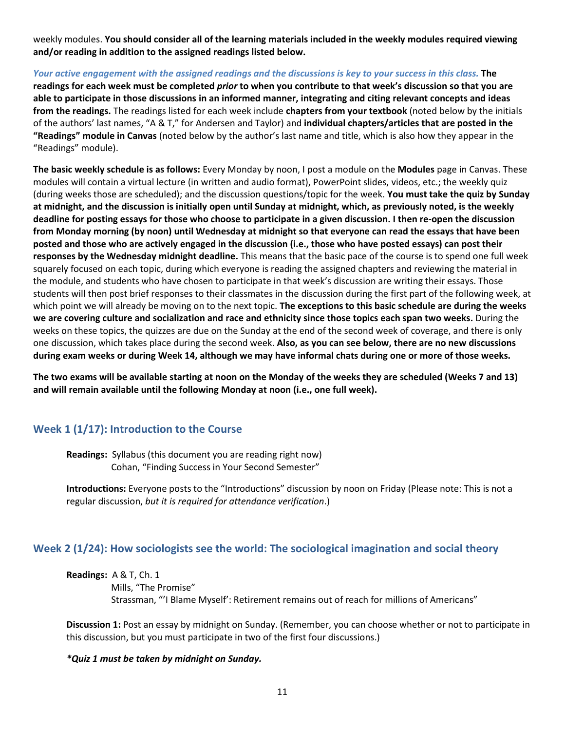weekly modules. **You should consider all of the learning materials included in the weekly modules required viewing and/or reading in addition to the assigned readings listed below.**

*Your active engagement with the assigned readings and the discussions is key to your success in this class.* **The readings for each week must be completed** *prior* **to when you contribute to that week's discussion so that you are able to participate in those discussions in an informed manner, integrating and citing relevant concepts and ideas from the readings.** The readings listed for each week include **chapters from your textbook** (noted below by the initials of the authors' last names, "A & T," for Andersen and Taylor) and **individual chapters/articles that are posted in the "Readings" module in Canvas** (noted below by the author's last name and title, which is also how they appear in the "Readings" module).

**The basic weekly schedule is as follows:** Every Monday by noon, I post a module on the **Modules** page in Canvas. These modules will contain a virtual lecture (in written and audio format), PowerPoint slides, videos, etc.; the weekly quiz (during weeks those are scheduled); and the discussion questions/topic for the week. **You must take the quiz by Sunday at midnight, and the discussion is initially open until Sunday at midnight, which, as previously noted, is the weekly deadline for posting essays for those who choose to participate in a given discussion. I then re-open the discussion from Monday morning (by noon) until Wednesday at midnight so that everyone can read the essays that have been posted and those who are actively engaged in the discussion (i.e., those who have posted essays) can post their responses by the Wednesday midnight deadline.** This means that the basic pace of the course is to spend one full week squarely focused on each topic, during which everyone is reading the assigned chapters and reviewing the material in the module, and students who have chosen to participate in that week's discussion are writing their essays. Those students will then post brief responses to their classmates in the discussion during the first part of the following week, at which point we will already be moving on to the next topic. **The exceptions to this basic schedule are during the weeks we are covering culture and socialization and race and ethnicity since those topics each span two weeks.** During the weeks on these topics, the quizzes are due on the Sunday at the end of the second week of coverage, and there is only one discussion, which takes place during the second week. **Also, as you can see below, there are no new discussions during exam weeks or during Week 14, although we may have informal chats during one or more of those weeks.**

**The two exams will be available starting at noon on the Monday of the weeks they are scheduled (Weeks 7 and 13) and will remain available until the following Monday at noon (i.e., one full week).** 

#### **Week 1 (1/17): Introduction to the Course**

**Readings:** Syllabus (this document you are reading right now) Cohan, "Finding Success in Your Second Semester"

**Introductions:** Everyone posts to the "Introductions" discussion by noon on Friday (Please note: This is not a regular discussion, *but it is required for attendance verification*.)

#### **Week 2 (1/24): How sociologists see the world: The sociological imagination and social theory**

**Readings:** A & T, Ch. 1

 Mills, "The Promise" Strassman, "'I Blame Myself': Retirement remains out of reach for millions of Americans"

**Discussion 1:** Post an essay by midnight on Sunday. (Remember, you can choose whether or not to participate in this discussion, but you must participate in two of the first four discussions.)

*\*Quiz 1 must be taken by midnight on Sunday.*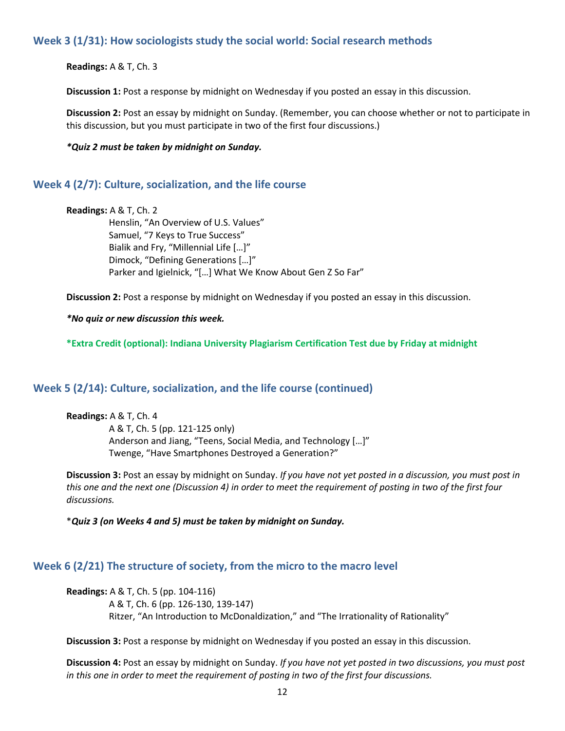### **Week 3 (1/31): How sociologists study the social world: Social research methods**

**Readings:** A & T, Ch. 3

**Discussion 1:** Post a response by midnight on Wednesday if you posted an essay in this discussion.

**Discussion 2:** Post an essay by midnight on Sunday. (Remember, you can choose whether or not to participate in this discussion, but you must participate in two of the first four discussions.)

*\*Quiz 2 must be taken by midnight on Sunday.*

#### **Week 4 (2/7): Culture, socialization, and the life course**

```
Readings: A & T, Ch. 2
Henslin, "An Overview of U.S. Values" 
Samuel, "7 Keys to True Success"
Bialik and Fry, "Millennial Life […]"
Dimock, "Defining Generations […]"
Parker and Igielnick, "[…] What We Know About Gen Z So Far"
```
**Discussion 2:** Post a response by midnight on Wednesday if you posted an essay in this discussion.

*\*No quiz or new discussion this week.*

**\*Extra Credit (optional): Indiana University Plagiarism Certification Test due by Friday at midnight**

#### **Week 5 (2/14): Culture, socialization, and the life course (continued)**

**Readings:** A & T, Ch. 4 A & T, Ch. 5 (pp. 121-125 only) Anderson and Jiang, "Teens, Social Media, and Technology […]" Twenge, "Have Smartphones Destroyed a Generation?"

**Discussion 3:** Post an essay by midnight on Sunday. *If you have not yet posted in a discussion, you must post in this one and the next one (Discussion 4) in order to meet the requirement of posting in two of the first four discussions.*

\**Quiz 3 (on Weeks 4 and 5) must be taken by midnight on Sunday.*

# **Week 6 (2/21) The structure of society, from the micro to the macro level**

**Readings:** A & T, Ch. 5 (pp. 104-116) A & T, Ch. 6 (pp. 126-130, 139-147) Ritzer, "An Introduction to McDonaldization," and "The Irrationality of Rationality"

**Discussion 3:** Post a response by midnight on Wednesday if you posted an essay in this discussion.

**Discussion 4:** Post an essay by midnight on Sunday. *If you have not yet posted in two discussions, you must post in this one in order to meet the requirement of posting in two of the first four discussions.*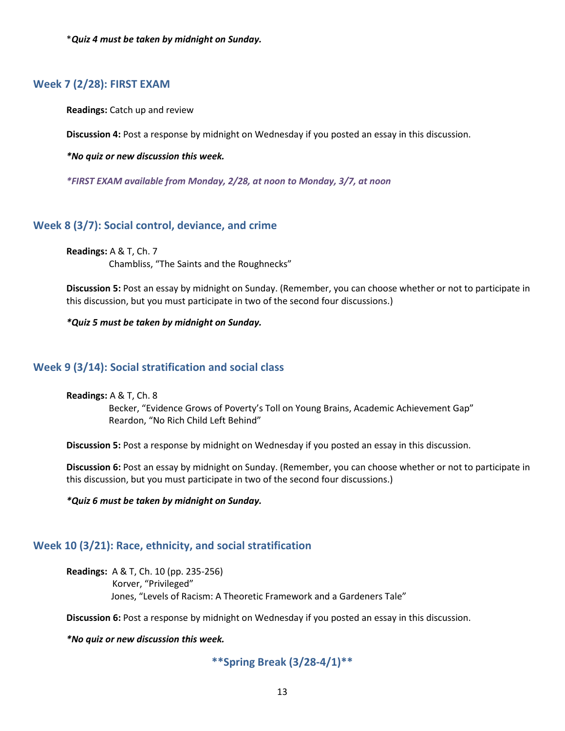\**Quiz 4 must be taken by midnight on Sunday.*

#### **Week 7 (2/28): FIRST EXAM**

**Readings:** Catch up and review

**Discussion 4:** Post a response by midnight on Wednesday if you posted an essay in this discussion.

*\*No quiz or new discussion this week.*

*\*FIRST EXAM available from Monday, 2/28, at noon to Monday, 3/7, at noon*

#### **Week 8 (3/7): Social control, deviance, and crime**

**Readings:** A & T, Ch. 7 Chambliss, "The Saints and the Roughnecks"

**Discussion 5:** Post an essay by midnight on Sunday. (Remember, you can choose whether or not to participate in this discussion, but you must participate in two of the second four discussions.)

*\*Quiz 5 must be taken by midnight on Sunday.*

#### **Week 9 (3/14): Social stratification and social class**

**Readings:** A & T, Ch. 8

Becker, "Evidence Grows of Poverty's Toll on Young Brains, Academic Achievement Gap" Reardon, "No Rich Child Left Behind"

**Discussion 5:** Post a response by midnight on Wednesday if you posted an essay in this discussion.

**Discussion 6:** Post an essay by midnight on Sunday. (Remember, you can choose whether or not to participate in this discussion, but you must participate in two of the second four discussions.)

*\*Quiz 6 must be taken by midnight on Sunday.*

#### **Week 10 (3/21): Race, ethnicity, and social stratification**

**Readings:** A & T, Ch. 10 (pp. 235-256) Korver, "Privileged" Jones, "Levels of Racism: A Theoretic Framework and a Gardeners Tale"

**Discussion 6:** Post a response by midnight on Wednesday if you posted an essay in this discussion.

*\*No quiz or new discussion this week.*

**\*\*Spring Break (3/28-4/1)\*\***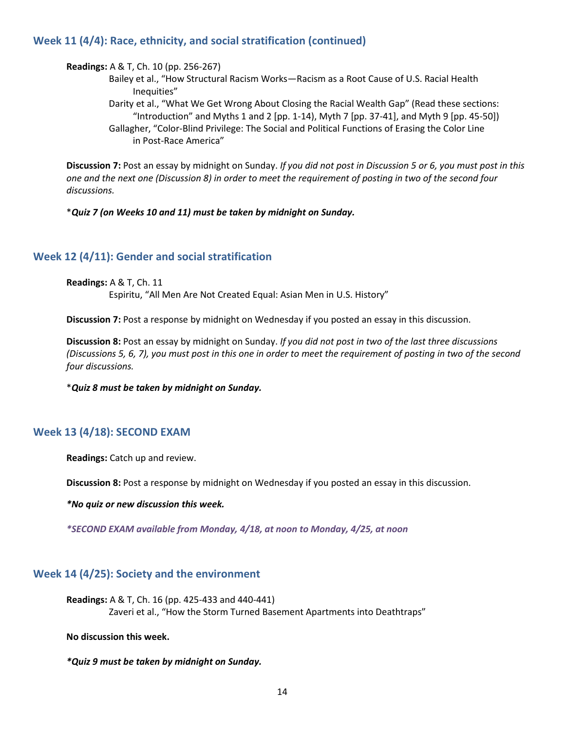#### **Week 11 (4/4): Race, ethnicity, and social stratification (continued)**

**Readings:** A & T, Ch. 10 (pp. 256-267)

- Bailey et al., "How Structural Racism Works—Racism as a Root Cause of U.S. Racial Health Inequities"
- Darity et al., "What We Get Wrong About Closing the Racial Wealth Gap" (Read these sections: "Introduction" and Myths 1 and 2 [pp. 1-14), Myth 7 [pp. 37-41], and Myth 9 [pp. 45-50]) Gallagher, "Color-Blind Privilege: The Social and Political Functions of Erasing the Color Line in Post-Race America"

**Discussion 7:** Post an essay by midnight on Sunday. *If you did not post in Discussion 5 or 6, you must post in this one and the next one (Discussion 8) in order to meet the requirement of posting in two of the second four discussions.*

\**Quiz 7 (on Weeks 10 and 11) must be taken by midnight on Sunday.*

#### **Week 12 (4/11): Gender and social stratification**

**Readings:** A & T, Ch. 11 Espiritu, "All Men Are Not Created Equal: Asian Men in U.S. History"

**Discussion 7:** Post a response by midnight on Wednesday if you posted an essay in this discussion.

**Discussion 8:** Post an essay by midnight on Sunday. *If you did not post in two of the last three discussions (Discussions 5, 6, 7), you must post in this one in order to meet the requirement of posting in two of the second four discussions.*

\**Quiz 8 must be taken by midnight on Sunday.*

#### **Week 13 (4/18): SECOND EXAM**

**Readings:** Catch up and review.

**Discussion 8:** Post a response by midnight on Wednesday if you posted an essay in this discussion.

*\*No quiz or new discussion this week.*

*\*SECOND EXAM available from Monday, 4/18, at noon to Monday, 4/25, at noon* 

#### **Week 14 (4/25): Society and the environment**

**Readings:** A & T, Ch. 16 (pp. 425-433 and 440-441) Zaveri et al., "How the Storm Turned Basement Apartments into Deathtraps"

**No discussion this week.**

*\*Quiz 9 must be taken by midnight on Sunday.*